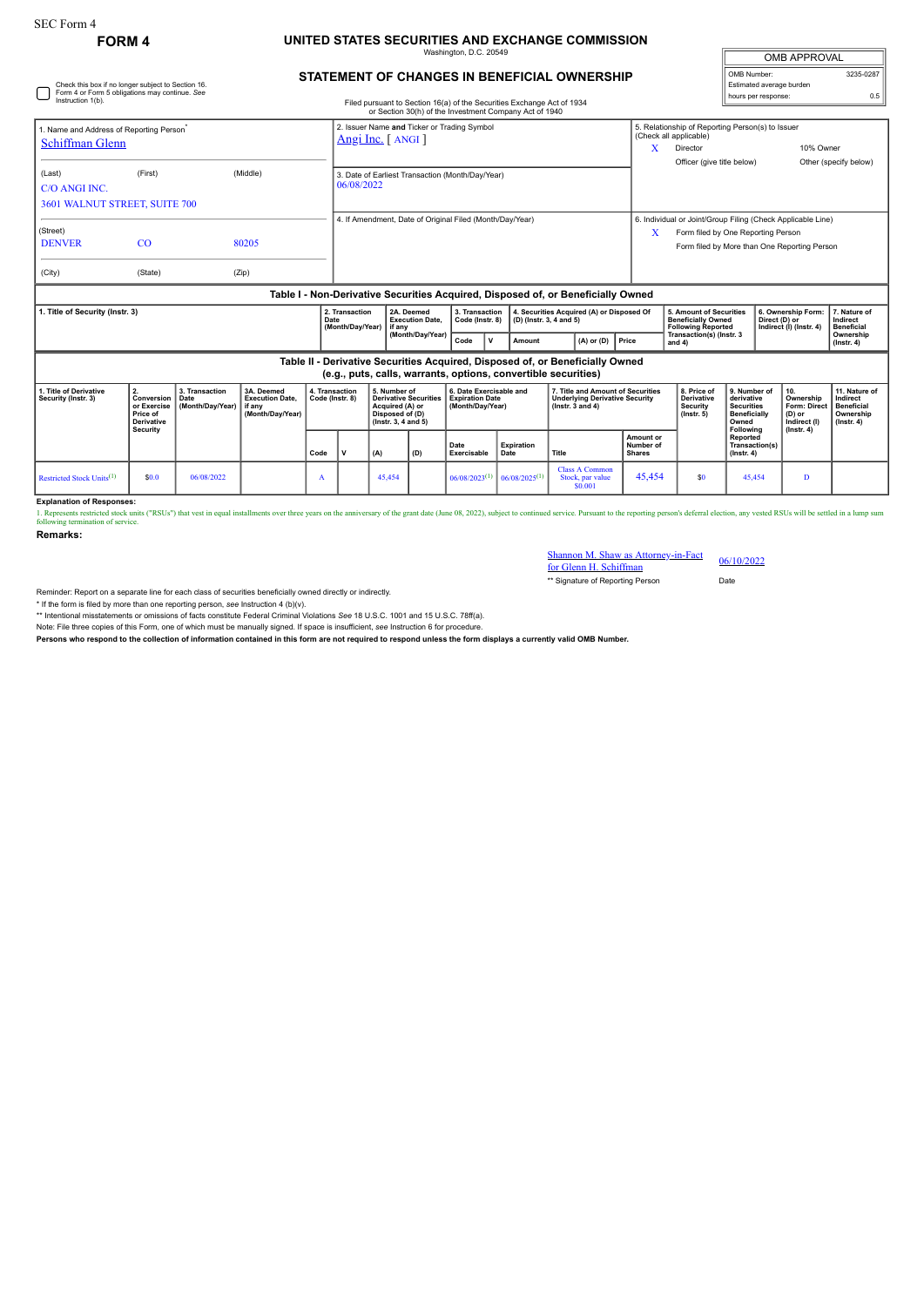Check this box if no longer subject to Section 16. Form 4 or Form 5 obligations may continue. *See*

## **FORM 4 UNITED STATES SECURITIES AND EXCHANGE COMMISSION** Washington, D.C. 20549

| <b>OMB APPROVAL</b>      |           |
|--------------------------|-----------|
| OMB Number:              | 3235-0287 |
| Estimated average burden |           |
| hours per response:      | 0.5       |

| STATEMENT OF CHANGES IN BENEFICIAL OWNERSHIP |  |  |
|----------------------------------------------|--|--|
|                                              |  |  |

| Instruction 1(b).                                                                                                                                                                                                                     |                      | Filed pursuant to Section 16(a) of the Securities Exchange Act of 1934<br>or Section 30(h) of the Investment Company Act of 1940 |                |  |                                                                                                                                                |                                                                                  |                                                                       |  |                                                                      | nouro por rooponou                                                                                                        |  |       |                                                                                                   |                                                                                 |               |                                                                   |                                                                                 |
|---------------------------------------------------------------------------------------------------------------------------------------------------------------------------------------------------------------------------------------|----------------------|----------------------------------------------------------------------------------------------------------------------------------|----------------|--|------------------------------------------------------------------------------------------------------------------------------------------------|----------------------------------------------------------------------------------|-----------------------------------------------------------------------|--|----------------------------------------------------------------------|---------------------------------------------------------------------------------------------------------------------------|--|-------|---------------------------------------------------------------------------------------------------|---------------------------------------------------------------------------------|---------------|-------------------------------------------------------------------|---------------------------------------------------------------------------------|
| 1. Name and Address of Reporting Person <sup>*</sup><br>Schiffman Glenn                                                                                                                                                               |                      | 2. Issuer Name and Ticker or Trading Symbol<br>$Angi Inc.$ [ANGI]                                                                |                |  |                                                                                                                                                |                                                                                  |                                                                       |  |                                                                      | 5. Relationship of Reporting Person(s) to Issuer<br>(Check all applicable)<br>X<br>Director<br>Officer (give title below) |  |       | 10% Owner                                                                                         | Other (specify below)                                                           |               |                                                                   |                                                                                 |
| (Last)<br>C/O ANGLINC<br>3601 WALNUT STREET, SUITE 700                                                                                                                                                                                | (First)              |                                                                                                                                  | (Middle)       |  | 3. Date of Earliest Transaction (Month/Day/Year)<br>06/08/2022                                                                                 |                                                                                  |                                                                       |  |                                                                      |                                                                                                                           |  |       |                                                                                                   |                                                                                 |               |                                                                   |                                                                                 |
| (Street)<br><b>DENVER</b><br>(City)                                                                                                                                                                                                   | <b>CO</b><br>(State) |                                                                                                                                  | 80205<br>(Zip) |  |                                                                                                                                                | 4. If Amendment, Date of Original Filed (Month/Day/Year)                         |                                                                       |  |                                                                      |                                                                                                                           |  | x     | 6. Individual or Joint/Group Filing (Check Applicable Line)<br>Form filed by One Reporting Person |                                                                                 |               | Form filed by More than One Reporting Person                      |                                                                                 |
|                                                                                                                                                                                                                                       |                      |                                                                                                                                  |                |  |                                                                                                                                                | Table I - Non-Derivative Securities Acquired, Disposed of, or Beneficially Owned |                                                                       |  |                                                                      |                                                                                                                           |  |       |                                                                                                   |                                                                                 |               |                                                                   |                                                                                 |
| I. Title of Security (Instr. 3)<br>Date                                                                                                                                                                                               |                      |                                                                                                                                  |                |  | 2. Transaction<br>(Month/Day/Year)                                                                                                             | 2A. Deemed<br><b>Execution Date,</b><br>l if anv                                 | 3. Transaction<br>Code (Instr. 8)                                     |  | 4. Securities Acquired (A) or Disposed Of<br>(D) (Instr. 3, 4 and 5) |                                                                                                                           |  |       | 5. Amount of Securities<br><b>Beneficially Owned</b><br><b>Following Reported</b>                 |                                                                                 | Direct (D) or | 6. Ownership Form:<br>Indirect (I) (Instr. 4)                     | 7. Nature of<br>Indirect<br><b>Beneficial</b><br>Ownership<br>$($ lnstr. 4 $)$  |
|                                                                                                                                                                                                                                       |                      |                                                                                                                                  |                |  | (Month/Day/Year)<br>Code<br>$(A)$ or $(D)$<br>$\mathbf v$<br>Amount                                                                            |                                                                                  |                                                                       |  |                                                                      |                                                                                                                           |  | Price | and $4)$                                                                                          | Transaction(s) (Instr. 3                                                        |               |                                                                   |                                                                                 |
| Table II - Derivative Securities Acquired, Disposed of, or Beneficially Owned<br>(e.g., puts, calls, warrants, options, convertible securities)                                                                                       |                      |                                                                                                                                  |                |  |                                                                                                                                                |                                                                                  |                                                                       |  |                                                                      |                                                                                                                           |  |       |                                                                                                   |                                                                                 |               |                                                                   |                                                                                 |
| 3A. Deemed<br>1. Title of Derivative<br>3. Transaction<br>2.<br>Security (Instr. 3)<br>Conversion<br>Date<br><b>Execution Date.</b><br>or Exercise<br>(Month/Day/Year)<br>if any<br>Price of<br>(Month/Day/Year)<br><b>Derivative</b> |                      |                                                                                                                                  |                |  | 5. Number of<br>4. Transaction<br>Code (Instr. 8)<br><b>Derivative Securities</b><br>Acquired (A) or<br>Disposed of (D)<br>(Instr. 3, 4 and 5) |                                                                                  | 6. Date Exercisable and<br><b>Expiration Date</b><br>(Month/Day/Year) |  |                                                                      | 7. Title and Amount of Securities<br><b>Underlying Derivative Security</b><br>$($ Instr. 3 and 4 $)$                      |  |       | 8. Price of<br><b>Derivative</b><br><b>Security</b><br>$($ lnstr $, 5)$                           | 9. Number of<br>derivative<br><b>Securities</b><br><b>Beneficially</b><br>Owned |               | 10.<br>Ownership<br><b>Form: Direct</b><br>(D) or<br>Indirect (I) | 11. Nature of<br>Indirect<br><b>Beneficial</b><br>Ownership<br>$($ lnstr. 4 $)$ |

|                                       | ______<br>Security |            |  |      |                         | ________ |     |                             |                             |                                                      |                                  | Following                                | .<br>$($ lnstr. 4 $)$ | _______ |
|---------------------------------------|--------------------|------------|--|------|-------------------------|----------|-----|-----------------------------|-----------------------------|------------------------------------------------------|----------------------------------|------------------------------------------|-----------------------|---------|
|                                       |                    |            |  | Code | $\overline{\mathbf{v}}$ | (A)      | (D) | Date<br>Exercisable         | <b>Expiration</b><br>Date   | Title                                                | Amount or<br>Number of<br>Shares | Reported<br>Transaction(s)<br>(Instr. 4) |                       |         |
| Restricted Stock Units <sup>(1)</sup> | \$0.0              | 06/08/2022 |  |      |                         | 45,454   |     | $06/08/2023$ <sup>(1)</sup> | $06/08/2025$ <sup>(1)</sup> | <b>Class A Common</b><br>Stock, par value<br>\$0.001 | 45.454                           | 45,454                                   | D                     |         |
| <b>Explanation of Responses:</b>      |                    |            |  |      |                         |          |     |                             |                             |                                                      |                                  |                                          |                       |         |

1. Represents restriced stock units ("RSUs") that vest in equal installments over three years on the anniversary of the grant date (June 08, 2022), subject to continued service. Pursuant to the reporting person's deferral

**Remarks:**

| Shannon M. Shaw as Attorney-in-Fact |            |
|-------------------------------------|------------|
| for Glenn H. Schiffman              | 06/10/2022 |

\*\* Signature of Reporting Person Date

Reminder: Report on a separate line for each class of securities beneficially owned directly or indirectly.

\* If the form is filed by more than one reporting person, see Instruction 4 (b)(v).<br>\*\* Intentional misstatements or omissions of facts constitute Federal Criminal Violations See 18 U.S.C. 1001 and 15 U.S.C. 78ff(a).

Note: File three copies of this Form, one of which must be manually signed. If space is insufficient, *see* Instruction 6 for procedure.

**Persons who respond to the collection of information contained in this form are not required to respond unless the form displays a currently valid OMB Number.**